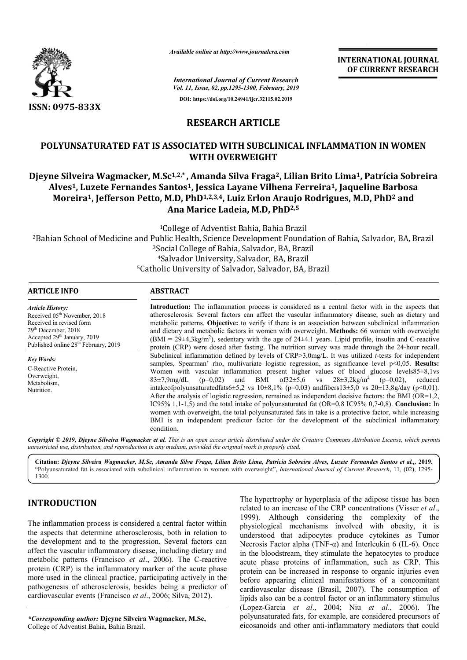

*Available online at http://www.journalcra.com*

# **RESEARCH ARTICLE**

## **POLYUNSATURATED FAT IS ASSOCIATED WITH SUBCLINICAL INFLAMMATION IN WOMEN WITH OVERWEIGHT**

## **Djeyne Silveira Wagmacker, M.Sc M.Sc1,2,\* , Amanda Silva Fraga2, Lilian Brito Lima , Lima1, Patrícia Sobreira Alves1, Luzete Fernandes Santos , Santos1, Jessica Layane Vilhena Ferreira1, Jaqueline Barbosa Moreira1, Jefferson Petto, M.D, PhD1,2,3,4, Luiz Erlon Araujo Rodrigues, , M.D, PhD2 and Ana Marice Ladeia, M.D, PhD2,5**

|                                                                                                                                                                                                                                                                                                                                                                                                                                                                                                                                                                                                                                |                                                                                                                                                                                                                                                                                                                                                                                                                                                                                                                                                                                                                                                                                                                                                                                                                                                                                                                                                                                                                                                                                                                                                                                                                                                                                                                                                                                                                                                                                                                                                                                                                                               | <b>INTERNATIONAL JOURNAL</b><br>OF CURRENT RESEARCH                                                                                                                                                                                                                                                                                                                                                                                                                                                                                                                                                                                                                                                                                                                                                                                                                                                  |  |
|--------------------------------------------------------------------------------------------------------------------------------------------------------------------------------------------------------------------------------------------------------------------------------------------------------------------------------------------------------------------------------------------------------------------------------------------------------------------------------------------------------------------------------------------------------------------------------------------------------------------------------|-----------------------------------------------------------------------------------------------------------------------------------------------------------------------------------------------------------------------------------------------------------------------------------------------------------------------------------------------------------------------------------------------------------------------------------------------------------------------------------------------------------------------------------------------------------------------------------------------------------------------------------------------------------------------------------------------------------------------------------------------------------------------------------------------------------------------------------------------------------------------------------------------------------------------------------------------------------------------------------------------------------------------------------------------------------------------------------------------------------------------------------------------------------------------------------------------------------------------------------------------------------------------------------------------------------------------------------------------------------------------------------------------------------------------------------------------------------------------------------------------------------------------------------------------------------------------------------------------------------------------------------------------|------------------------------------------------------------------------------------------------------------------------------------------------------------------------------------------------------------------------------------------------------------------------------------------------------------------------------------------------------------------------------------------------------------------------------------------------------------------------------------------------------------------------------------------------------------------------------------------------------------------------------------------------------------------------------------------------------------------------------------------------------------------------------------------------------------------------------------------------------------------------------------------------------|--|
|                                                                                                                                                                                                                                                                                                                                                                                                                                                                                                                                                                                                                                |                                                                                                                                                                                                                                                                                                                                                                                                                                                                                                                                                                                                                                                                                                                                                                                                                                                                                                                                                                                                                                                                                                                                                                                                                                                                                                                                                                                                                                                                                                                                                                                                                                               | <b>International Journal of Current Research</b><br>Vol. 11, Issue, 02, pp.1295-1300, February, 2019                                                                                                                                                                                                                                                                                                                                                                                                                                                                                                                                                                                                                                                                                                                                                                                                 |  |
|                                                                                                                                                                                                                                                                                                                                                                                                                                                                                                                                                                                                                                |                                                                                                                                                                                                                                                                                                                                                                                                                                                                                                                                                                                                                                                                                                                                                                                                                                                                                                                                                                                                                                                                                                                                                                                                                                                                                                                                                                                                                                                                                                                                                                                                                                               | DOI: https://doi.org/10.24941/ijcr.32115.02.2019                                                                                                                                                                                                                                                                                                                                                                                                                                                                                                                                                                                                                                                                                                                                                                                                                                                     |  |
| ISSN: 0975-833X                                                                                                                                                                                                                                                                                                                                                                                                                                                                                                                                                                                                                |                                                                                                                                                                                                                                                                                                                                                                                                                                                                                                                                                                                                                                                                                                                                                                                                                                                                                                                                                                                                                                                                                                                                                                                                                                                                                                                                                                                                                                                                                                                                                                                                                                               |                                                                                                                                                                                                                                                                                                                                                                                                                                                                                                                                                                                                                                                                                                                                                                                                                                                                                                      |  |
|                                                                                                                                                                                                                                                                                                                                                                                                                                                                                                                                                                                                                                | <b>RESEARCH ARTICLE</b>                                                                                                                                                                                                                                                                                                                                                                                                                                                                                                                                                                                                                                                                                                                                                                                                                                                                                                                                                                                                                                                                                                                                                                                                                                                                                                                                                                                                                                                                                                                                                                                                                       |                                                                                                                                                                                                                                                                                                                                                                                                                                                                                                                                                                                                                                                                                                                                                                                                                                                                                                      |  |
|                                                                                                                                                                                                                                                                                                                                                                                                                                                                                                                                                                                                                                | WITH OVERWEIGHT                                                                                                                                                                                                                                                                                                                                                                                                                                                                                                                                                                                                                                                                                                                                                                                                                                                                                                                                                                                                                                                                                                                                                                                                                                                                                                                                                                                                                                                                                                                                                                                                                               | POLYUNSATURATED FAT IS ASSOCIATED WITH SUBCLINICAL INFLAMMATION IN WOMEN                                                                                                                                                                                                                                                                                                                                                                                                                                                                                                                                                                                                                                                                                                                                                                                                                             |  |
|                                                                                                                                                                                                                                                                                                                                                                                                                                                                                                                                                                                                                                | Ana Marice Ladeia, M.D, PhD <sup>2,5</sup>                                                                                                                                                                                                                                                                                                                                                                                                                                                                                                                                                                                                                                                                                                                                                                                                                                                                                                                                                                                                                                                                                                                                                                                                                                                                                                                                                                                                                                                                                                                                                                                                    | Djeyne Silveira Wagmacker, M.Sc <sup>1,2,*</sup> , Amanda Silva Fraga <sup>2</sup> , Lilian Brito Lima <sup>1</sup> , Patrícia Sobreira<br>Alves <sup>1</sup> , Luzete Fernandes Santos <sup>1</sup> , Jessica Layane Vilhena Ferreira <sup>1</sup> , Jaqueline Barbosa<br>Moreira <sup>1</sup> , Jefferson Petto, M.D, PhD <sup>1,2,3,4</sup> , Luiz Erlon Araujo Rodrigues, M.D, PhD <sup>2</sup> and                                                                                                                                                                                                                                                                                                                                                                                                                                                                                              |  |
|                                                                                                                                                                                                                                                                                                                                                                                                                                                                                                                                                                                                                                | <sup>4</sup> Salvador University, Salvador, BA, Brazil<br><sup>5</sup> Catholic University of Salvador, Salvador, BA, Brazil                                                                                                                                                                                                                                                                                                                                                                                                                                                                                                                                                                                                                                                                                                                                                                                                                                                                                                                                                                                                                                                                                                                                                                                                                                                                                                                                                                                                                                                                                                                  | <sup>1</sup> College of Adventist Bahia, Bahia Brazil<br><sup>2</sup> Bahian School of Medicine and Public Health, Science Development Foundation of Bahia, Salvador, BA, Brazil<br><sup>3</sup> Social College of Bahia, Salvador, BA, Brazil                                                                                                                                                                                                                                                                                                                                                                                                                                                                                                                                                                                                                                                       |  |
| <b>ARTICLE INFO</b>                                                                                                                                                                                                                                                                                                                                                                                                                                                                                                                                                                                                            | <b>ABSTRACT</b>                                                                                                                                                                                                                                                                                                                                                                                                                                                                                                                                                                                                                                                                                                                                                                                                                                                                                                                                                                                                                                                                                                                                                                                                                                                                                                                                                                                                                                                                                                                                                                                                                               |                                                                                                                                                                                                                                                                                                                                                                                                                                                                                                                                                                                                                                                                                                                                                                                                                                                                                                      |  |
| <b>Article History:</b><br>Received 05 <sup>th</sup> November, 2018<br>Received in revised form<br>29 <sup>th</sup> December, 2018<br>Accepted 29 <sup>th</sup> January, 2019<br>Published online 28 <sup>th</sup> February, 2019<br><b>Key Words:</b><br>C-Reactive Protein,<br>Overweight,<br>Metabolism,<br>Nutrition.                                                                                                                                                                                                                                                                                                      | Introduction: The inflammation process is considered as a central factor with in the aspects that<br>atherosclerosis. Several factors can affect the vascular inflammatory disease, such as dietary and<br>metabolic patterns. Objective: to verify if there is an association between subclinical inflammation<br>and dietary and metabolic factors in women with overweight. Methods: 66 women with overweight<br>$(BMI = 29\pm4,3\text{kg/m}^2)$ , sedentary with the age of 24 $\pm4.1$ years. Lipid profile, insulin and C-reactive<br>protein (CRP) were dosed after fasting. The nutrition survey was made through the 24-hour recall.<br>Subclinical inflammation defined by levels of $CRP > 3.0$ mg/L. It was utilized t-tests for independent<br>samples, Spearman' rho, multivariate logistic regression, as significance level $p<0,05$ . Results:<br>Women with vascular inflammation present higher values of blood glucose levels85±8,1vs<br>$28 \pm 3.2$ kg/m <sup>2</sup><br>$83\pm7,9$ mg/dL<br>$(p=0,02)$<br>BMI<br>$of32 \pm 5,6$<br>$(p=0.02)$ ,<br>and<br>$_{\rm VS}$<br>reduced<br>intakeofpolyunsaturatedfats6±5,2 vs 10±8,1% (p=0,03) andfibers13±5,0 vs 20±13,8g/day (p<0,01).<br>After the analysis of logistic regression, remained as independent decisive factors: the BMI (OR=1,2,<br>IC95% 1,1-1,5) and the total intake of polyunsaturated fat (OR=0,8 IC95% 0,7-0,8). Conclusion: In<br>women with overweight, the total polyunsaturated fats in take is a protective factor, while increasing<br>BMI is an independent predictor factor for the development of the subclinical inflammatory<br>condition. |                                                                                                                                                                                                                                                                                                                                                                                                                                                                                                                                                                                                                                                                                                                                                                                                                                                                                                      |  |
| unrestricted use, distribution, and reproduction in any medium, provided the original work is properly cited.                                                                                                                                                                                                                                                                                                                                                                                                                                                                                                                  |                                                                                                                                                                                                                                                                                                                                                                                                                                                                                                                                                                                                                                                                                                                                                                                                                                                                                                                                                                                                                                                                                                                                                                                                                                                                                                                                                                                                                                                                                                                                                                                                                                               | Copyright © 2019, Dieyne Silveira Wagmacker et al. This is an open access article distributed under the Creative Commons Attribution License, which permits                                                                                                                                                                                                                                                                                                                                                                                                                                                                                                                                                                                                                                                                                                                                          |  |
| 1300.                                                                                                                                                                                                                                                                                                                                                                                                                                                                                                                                                                                                                          |                                                                                                                                                                                                                                                                                                                                                                                                                                                                                                                                                                                                                                                                                                                                                                                                                                                                                                                                                                                                                                                                                                                                                                                                                                                                                                                                                                                                                                                                                                                                                                                                                                               | Citation: Djeyne Silveira Wagmacker, M.Sc, Amanda Silva Fraga, Lilian Brito Lima, Patrícia Sobreira Alves, Luzete Fernandes Santos et al.,, 2019.<br>"Polyunsaturated fat is associated with subclinical inflammation in women with overweight", International Journal of Current Research, 11, (02), 1295-                                                                                                                                                                                                                                                                                                                                                                                                                                                                                                                                                                                          |  |
| <b>INTRODUCTION</b><br>The inflammation process is considered a central factor within<br>the aspects that determine atherosclerosis, both in relation to<br>the development and to the progression. Several factors can<br>affect the vascular inflammatory disease, including dietary and<br>metabolic patterns (Francisco et al., 2006). The C-reactive<br>protein (CRP) is the inflammatory marker of the acute phase<br>more used in the clinical practice, participating actively in the<br>pathogenesis of atherosclerosis, besides being a predictor of<br>cardiovascular events (Francisco et al., 2006; Silva, 2012). |                                                                                                                                                                                                                                                                                                                                                                                                                                                                                                                                                                                                                                                                                                                                                                                                                                                                                                                                                                                                                                                                                                                                                                                                                                                                                                                                                                                                                                                                                                                                                                                                                                               | The hypertrophy or hyperplasia of the adipose tissue has been<br>related to an increase of the CRP concentrations (Visser et al.,<br>1999). Although considering the complexity of the<br>physiological mechanisms involved with obesity, it is<br>understood that adipocytes produce cytokines as Tumor<br>Necrosis Factor alpha (TNF- $\alpha$ ) and Interleukin 6 (IL-6). Once<br>in the bloodstream, they stimulate the hepatocytes to produce<br>acute phase proteins of inflammation, such as CRP. This<br>protein can be increased in response to organic injuries even<br>before appearing clinical manifestations of a concomitant<br>cardiovascular disease (Brasil, 2007). The consumption of<br>lipids also can be a control factor or an inflammatory stimulus<br>(Lopez-Garcia et al., 2004; Niu et al., 2006). The<br>polyunsaturated fats, for example, are considered precursors of |  |
| *Corresponding author: Djeyne Silveira Wagmacker, M.Sc,<br>College of Adventist Bahia, Bahia Brazil.                                                                                                                                                                                                                                                                                                                                                                                                                                                                                                                           |                                                                                                                                                                                                                                                                                                                                                                                                                                                                                                                                                                                                                                                                                                                                                                                                                                                                                                                                                                                                                                                                                                                                                                                                                                                                                                                                                                                                                                                                                                                                                                                                                                               | eicosanoids and other anti-inflammatory mediators that could                                                                                                                                                                                                                                                                                                                                                                                                                                                                                                                                                                                                                                                                                                                                                                                                                                         |  |

# **INTRODUCTION**

*\*Corresponding author:* **Djeyne Silveira Wagmacker, M.Sc M.Sc,** College of Adventist Bahia, Bahia Brazil.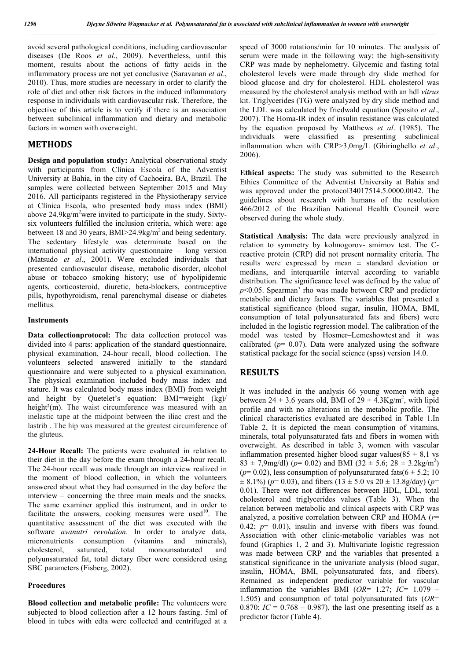avoid several pathological conditions, including cardiovascular diseases (De Roos *et al*., 2009). Nevertheless, until this moment, results about the actions of fatty acids in the inflammatory process are not yet conclusive (Saravanan *et al*., 2010). Thus, more studies are necessary in order to clarify the role of diet and other risk factors in the induced inflammatory response in individuals with cardiovascular risk. Therefore, the objective of this article is to verify if there is an association between subclinical inflammation and dietary and metabolic factors in women with overweight.

### **METHODS**

**Design and population study:** Analytical observational study with participants from Clínica Escola of the Adventist University at Bahia, in the city of Cachoeira, BA, Brazil. The samples were collected between September 2015 and May 2016. All participants registered in the Physiotherapy service at Clínica Escola, who presented body mass index (BMI) above  $24.9\text{kg/m}^2$  were invited to participate in the study. Sixtysix volunteers fulfilled the inclusion criteria, which were: age between 18 and 30 years,  $BMI > 24.9 kg/m<sup>2</sup>$  and being sedentary. The sedentary lifestyle was determinate based on the international physical activity questionnaire – long version (Matsudo *et al*., 2001). Were excluded individuals that presented cardiovascular disease, metabolic disorder, alcohol abuse or tobacco smoking history; use of hypolipidemic agents, corticosteroid, diuretic, beta-blockers, contraceptive pills, hypothyroidism, renal parenchymal disease or diabetes mellitus.

#### **Instruments**

**Data collectionprotocol:** The data collection protocol was divided into 4 parts: application of the standard questionnaire, physical examination, 24-hour recall, blood collection. The volunteers selected answered initially to the standard questionnaire and were subjected to a physical examination. The physical examination included body mass index and stature. It was calculated body mass index (BMI) from weight and height by Quetelet's equation: BMI=weight (kg)/ height<sup>2</sup>(m). The waist circumference was measured with an inelastic tape at the midpoint between the iliac crest and the lastrib . The hip was measured at the greatest circumference of the gluteus.

**24-Hour Recall:** The patients were evaluated in relation to their diet in the day before the exam through a 24-hour recall. The 24-hour recall was made through an interview realized in the moment of blood collection, in which the volunteers answered about what they had consumed in the day before the interview – concerning the three main meals and the snacks. The same examiner applied this instrument, and in order to facilitate the answers, cooking measures were used<sup>10</sup>. The quantitative assessment of the diet was executed with the software *avanutri revolution*. In order to analyze data, micronutrients consumption (vitamins and minerals), cholesterol, saturated, total monounsaturated and polyunsaturated fat, total dietary fiber were considered using SBC parameters (Fisberg, 2002).

#### **Procedures**

**Blood collection and metabolic profile:** The volunteers were subjected to blood collection after a 12 hours fasting. 5ml of blood in tubes with edta were collected and centrifuged at a

speed of 3000 rotations/min for 10 minutes. The analysis of serum were made in the following way: the high-sensitivity CRP was made by nephelometry. Glycemic and fasting total cholesterol levels were made through dry slide method for blood glucose and dry for cholesterol. HDL cholesterol was measured by the cholesterol analysis method with an hdl *vitrus*  kit. Triglycerides (TG) were analyzed by dry slide method and the LDL was calculated by friedwald equation (Sposito *et al*., 2007). The Homa-IR index of insulin resistance was calculated by the equation proposed by Matthews *et al*. (1985). The individuals were classified as presenting subclinical inflammation when with CRP>3,0mg/L (Ghiringhello *et al*., 2006).

**Ethical aspects:** The study was submitted to the Research Ethics Committee of the Adventist University at Bahia and was approved under the protocol34017514.5.0000.0042. The guidelines about research with humans of the resolution 466/2012 of the Brazilian National Health Council were observed during the whole study.

**Statistical Analysis:** The data were previously analyzed in relation to symmetry by kolmogorov- smirnov test. The Creactive protein (CRP) did not present normality criteria. The results were expressed by mean  $\pm$  standard deviation or medians, and interquartile interval according to variable distribution. The significance level was defined by the value of *p*<0.05. Spearman' rho was made between CRP and predictor metabolic and dietary factors. The variables that presented a statistical significance (blood sugar, insulin, HOMA, BMI, consumption of total polyunsaturated fats and fibers) were included in the logistic regression model. The calibration of the model was tested by Hosmer–Lemeshowtest and it was calibrated  $(p= 0.07)$ . Data were analyzed using the software statistical package for the social science (spss) version 14.0.

### **RESULTS**

It was included in the analysis 66 young women with age between  $24 \pm 3.6$  years old, BMI of  $29 \pm 4.3$ Kg/m<sup>2</sup>, with lipid profile and with no alterations in the metabolic profile. The clinical characteristics evaluated are described in Table 1.In Table 2, It is depicted the mean consumption of vitamins, minerals, total polyunsaturated fats and fibers in women with overweight. As described in table 3, women with vascular inflammation presented higher blood sugar values( $85 \pm 8.1$  vs  $83 \pm 7,9$ mg/dl) ( $p= 0.02$ ) and BMI ( $32 \pm 5.6$ ;  $28 \pm 3.2$ kg/m<sup>2</sup>) ( $p=0.02$ ), less consumption of polyunsaturated fats( $6 \pm 5.2$ ; 10)  $\pm$  8.1%) ( $p$ = 0.03), and fibers (13  $\pm$  5.0 vs 20  $\pm$  13.8g/day) ( $p$ = 0.01). There were not differences between HDL, LDL, total cholesterol and triglycerides values (Table 3). When the relation between metabolic and clinical aspects with CRP was analyzed, a positive correlation between CRP and HOMA (*r*= 0.42;  $p = 0.01$ ), insulin and inverse with fibers was found. Association with other clinic-metabolic variables was not found (Graphics 1, 2 and 3). Multivariate logistic regression was made between CRP and the variables that presented a statistical significance in the univariate analysis (blood sugar, insulin, HOMA, BMI, polyunsaturated fats, and fibers). Remained as independent predictor variable for vascular inflammation the variables BMI (*OR*= 1.27; *IC*= 1.079 – 1.505) and consumption of total polyunsaturated fats (*OR*= 0.870;  $IC = 0.768 - 0.987$ , the last one presenting itself as a predictor factor (Table 4).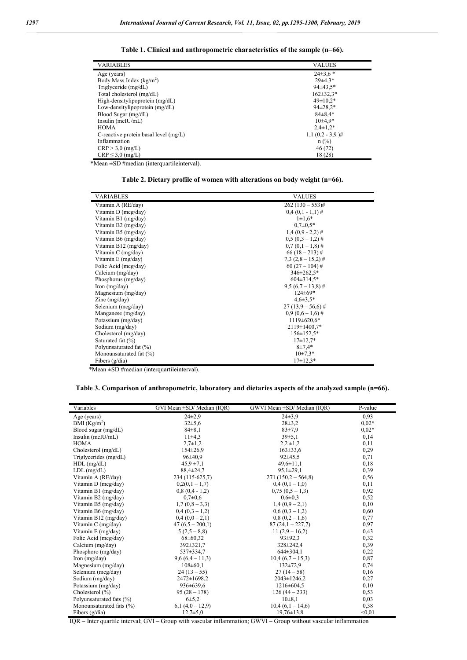| <b>VARIABLES</b>                      | <b>VALUES</b>    |
|---------------------------------------|------------------|
| Age (years)                           | $24\pm3.6*$      |
| Body Mass Index $(kg/m2)$             | $29\pm4.3*$      |
| Triglyceride (mg/dL)                  | $94\pm43.5*$     |
| Total cholesterol (mg/dL)             | $162 \pm 32.3*$  |
| High-densitylipoprotein (mg/dL)       | $49 \pm 10.2*$   |
| Low-densitylipoprotein (mg/dL)        | $94 \pm 28.2*$   |
| Blood Sugar (mg/dL)                   | $84\pm8.4*$      |
| Insulin (mcIU/mL)                     | $10\pm4.9*$      |
| <b>HOMA</b>                           | $2.4 \pm 1.2*$   |
| C-reactive protein basal level (mg/L) | $1,1(0,2-3,9)$ # |
| Inflammation                          | $n$ (%)          |
| $CRP > 3.0$ (mg/L)                    | 46 (72)          |
| $CRP \leq 3.0$ (mg/L)                 | 18 (28)          |

**Table 1. Clinical and anthropometric characteristics of the sample (n=66).**

\*Mean ±SD #median (interquartileinterval).

**Table 2. Dietary profile of women with alterations on body weight (n=66).**

| <b>VARIABLES</b>            | <b>VALUES</b>       |
|-----------------------------|---------------------|
| Vitamin A (RE/day)          | $262(130-553)$ #    |
| Vitamin D (mcg/day)         | $0,4(0,1-1,1)$ #    |
| Vitamin B1 (mg/day)         | $1 \pm 1.6*$        |
| Vitamin B2 (mg/day)         | $0.7 \pm 0.5*$      |
| Vitamin B5 (mg/day)         | $1,4(0,9-2,2)$ #    |
| Vitamin B6 (mg/day)         | $0.5(0.3-1.2)$ #    |
| Vitamin B12 (mg/day)        | $0.7(0.1-1.8)$ #    |
| Vitamin C (mg/day)          | $66(18-213)$ #      |
| Vitamin E (mg/day)          | $7,3(2,8-15,2)$ #   |
| Folic Acid (mcg/day)        | $60(27-104)$ #      |
| Calcium (mg/day)            | 346±262,5*          |
| Phosphorus (mg/day)         | $604\pm314.5*$      |
| Iron $(mg/day)$             | $9.5(6.7 - 13.8)$ # |
| Magnesium (mg/day)          | $124 \pm 69*$       |
| Zinc $(mg/day)$             | $4,6\pm3,5*$        |
| Selenium (mcg/day)          | $27(13,9-56,6)$ #   |
| Manganese (mg/day)          | $0.9(0.6 - 1.6)$ #  |
| Potassium (mg/day)          | $1119 \pm 620.6*$   |
| Sodium (mg/day)             | $2119 \pm 1400.7*$  |
| Cholesterol (mg/day)        | $156 \pm 152.5^*$   |
| Saturated fat $(\% )$       | $17\pm12.7*$        |
| Polyunsaturated fat (%)     | $8 + 7.4*$          |
| Monounsaturated fat $(\% )$ | $10\pm7.3*$         |
| Fibers $(g/dia)$            | $17\pm12.3*$        |

\*Mean ±SD #median (interquartileinterval).

**Table 3. Comparison of anthropometric, laboratory and dietaries aspects of the analyzed sample (n=66).**

| Variables                | GVI Mean ±SD/ Median (IQR) | GWVI Mean ±SD/ Median (IQR) | P-value |
|--------------------------|----------------------------|-----------------------------|---------|
| Age (years)              | $24\pm 2.9$                | $24\pm3.9$                  | 0,93    |
| BMI $(Kg/m^2)$           | $32\pm5.6$                 | $28 \pm 3.2$                | $0.02*$ |
| Blood sugar $(mg/dL)$    | $84 \pm 8.1$               | 83±7.9                      | $0.02*$ |
| Insulin $(mcIU/mL)$      | $11\pm4.3$                 | 39±5,1                      | 0,14    |
| <b>HOMA</b>              | $2,7+1,2$                  | $2,2 \pm 1,2$               | 0,11    |
| Cholesterol (mg/dL)      | $154 \pm 26.9$             | $163 \pm 33.6$              | 0,29    |
| Triglycerides (mg/dL)    | 96±40.9                    | $92 \pm 45.5$               | 0,71    |
| $HDL$ (mg/dL)            | $45.9 \pm 7.1$             | $49,6 \pm 11,1$             | 0,18    |
| $LDL$ (mg/dL)            | $88,4 \pm 24,7$            | $95,1 \pm 29,1$             | 0,39    |
| Vitamin A (RE/day)       | 234 (115-625,7)            | $271(150,2 - 564,8)$        | 0,56    |
| Vitamin D (mcg/day)      | $0,2(0,1-1,7)$             | $0.4(0.1-1.0)$              | 0,11    |
| Vitamin B1 (mg/day)      | $0.8(0.4 - 1.2)$           | $0.75(0.5-1.3)$             | 0,92    |
| Vitamin B2 (mg/day)      | $0.7 + 0.6$                | $0.6 \pm 0.3$               | 0,52    |
| Vitamin B5 (mg/day)      | $1,7(0,8-3,3)$             | $1,4(0,9-2,1)$              | 0,10    |
| Vitamin B6 (mg/day)      | $0.4(0.3-1.2)$             | $0.6(0.3-1.2)$              | 0,60    |
| Vitamin B12 (mg/day)     | $0.4(0.0-2.1)$             | $0.8(0.2-1.6)$              | 0,77    |
| Vitamin C (mg/day)       | $47(6.5-200.1)$            | $87(24,1 - 227,7)$          | 0,97    |
| Vitamin E (mg/day)       | $5(2.5-8.8)$               | $11(2,9-16,2)$              | 0,43    |
| Folic Acid (mcg/day)     | 68±60,32                   | $93 \pm 92.3$               | 0,32    |
| Calcium (mg/day)         | 392±321,7                  | 328±242.4                   | 0,39    |
| Phosphoro (mg/day)       | 537±334.7                  | $644\pm304.1$               | 0,22    |
| Iron $(mg/day)$          | $9,6(6,4-11,3)$            | $10.4(6.7 - 15.3)$          | 0,87    |
| Magnesium (mg/day)       | $108 \pm 60.1$             | $132 \pm 72.9$              | 0,74    |
| Selenium (mcg/day)       | $24(13-55)$                | $27(14-58)$                 | 0,16    |
| Sodium (mg/day)          | 2472±1698,2                | $2043 \pm 1246.2$           | 0,27    |
| Potassium (mg/day)       | $936 \pm 639.6$            | $1216 \pm 604.5$            | 0,10    |
| Cholesterol $(\% )$      | $95(28-178)$               | $126(44-233)$               | 0,53    |
| Polyunsaturated fats (%) | $6\pm 5.2$                 | $10\pm8.1$                  | 0,03    |
| Monounsaturated fats (%) | $6,1(4,0-12,9)$            | $10,4(6,1-14,6)$            | 0,38    |
| Fibers $(g/dia)$         | $12,7{\pm}5,0$             | $19,76 \pm 13,8$            | < 0.01  |

IQR – Inter quartile interval; GVI – Group with vascular inflammation; GWVI – Group without vascular inflammation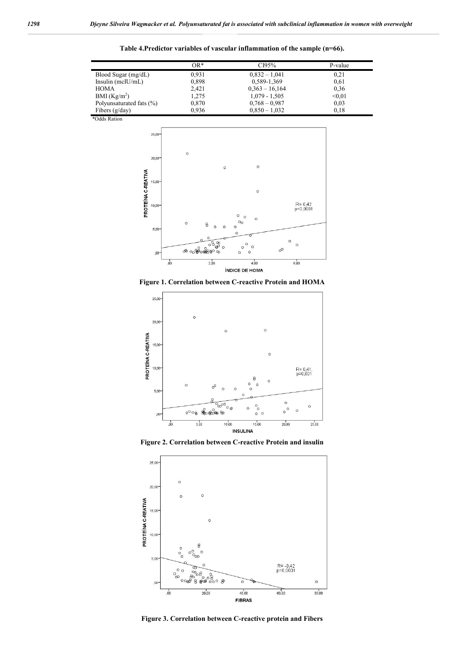|                          | $OR*$ | CI95%            | P-value |
|--------------------------|-------|------------------|---------|
| Blood Sugar (mg/dL)      | 0.931 | $0,832 - 1,041$  | 0,21    |
| Insulin $(mcIU/mL)$      | 0,898 | 0,589-1,369      | 0.61    |
| <b>HOMA</b>              | 2.421 | $0,363 - 16,164$ | 0,36    |
| BMI $(Kg/m2)$            | 1,275 | $1,079 - 1,505$  | < 0.01  |
| Polyunsaturated fats (%) | 0,870 | $0.768 - 0.987$  | 0.03    |
| Fibers $(g/day)$         | 0.936 | $0.850 - 1.032$  | 0.18    |

**Table 4.Predictor variables of vascular inflammation of the sample (n=66).**

\*Odds Ration



**Figure 1. Correlation between C-reactive Protein and HOMA**



**Figure 2. Correlation between C-reactive Protein and insulin**



**Figure 3. Correlation between C-reactive protein and Fibers**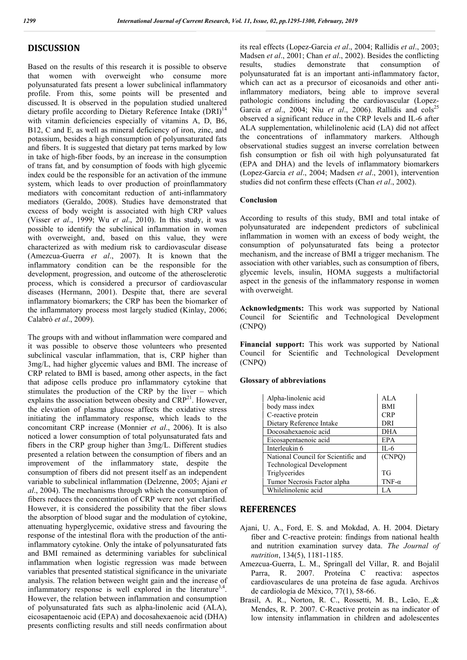## **DISCUSSION**

Based on the results of this research it is possible to observe that women with overweight who consume more polyunsaturated fats present a lower subclinical inflammatory profile. From this, some points will be presented and discussed. It is observed in the population studied unaltered dietary profile according to Dietary Reference Intake (DRI)<sup>14</sup> with vitamin deficiencies especially of vitamins A, D, B6, B12, C and E, as well as mineral deficiency of iron, zinc, and potassium, besides a high consumption of polyunsaturated fats and fibers. It is suggested that dietary pat terns marked by low in take of high-fiber foods, by an increase in the consumption of trans fat, and by consumption of foods with high glycemic index could be the responsible for an activation of the immune system, which leads to over production of proinflammatory mediators with concomitant reduction of anti-inflammatory mediators (Geraldo, 2008). Studies have demonstrated that excess of body weight is associated with high CRP values (Visser *et al*., 1999; Wu *et al*., 2010). In this study, it was possible to identify the subclinical inflammation in women with overweight, and, based on this value, they were characterized as with medium risk to cardiovascular disease (Amezcua-Guerra *et al*., 2007). It is known that the inflammatory condition can be the responsible for the development, progression, and outcome of the atherosclerotic process, which is considered a precursor of cardiovascular diseases (Hermann, 2001). Despite that, there are several inflammatory biomarkers; the CRP has been the biomarker of the inflammatory process most largely studied (Kinlay, 2006; Calabrò *et al*., 2009).

The groups with and without inflammation were compared and it was possible to observe those volunteers who presented subclinical vascular inflammation, that is, CRP higher than 3mg/L, had higher glycemic values and BMI. The increase of CRP related to BMI is based, among other aspects, in the fact that adipose cells produce pro inflammatory cytokine that stimulates the production of the CRP by the liver – which explains the association between obesity and  $CRP^{21}$ . However, the elevation of plasma glucose affects the oxidative stress initiating the inflammatory response, which leads to the concomitant CRP increase (Monnier *et al*., 2006). It is also noticed a lower consumption of total polyunsaturated fats and fibers in the CRP group higher than 3mg/L. Different studies presented a relation between the consumption of fibers and an improvement of the inflammatory state, despite the consumption of fibers did not present itself as an independent variable to subclinical inflammation (Delzenne, 2005; Ajani *et al*., 2004). The mechanisms through which the consumption of fibers reduces the concentration of CRP were not yet clarified. However, it is considered the possibility that the fiber slows the absorption of blood sugar and the modulation of cytokine, attenuating hyperglycemic, oxidative stress and favouring the response of the intestinal flora with the production of the antiinflammatory cytokine. Only the intake of polyunsaturated fats and BMI remained as determining variables for subclinical inflammation when logistic regression was made between variables that presented statistical significance in the univariate analysis. The relation between weight gain and the increase of inflammatory response is well explored in the literature<sup>3,4</sup>. However, the relation between inflammation and consumption of polyunsaturated fats such as alpha-linolenic acid (ALA), eicosapentaenoic acid (EPA) and docosahexaenoic acid (DHA) presents conflicting results and still needs confirmation about its real effects (Lopez-Garcia *et al*., 2004; Rallidis *et al*., 2003; Madsen *et al*., 2001; Chan *et al*., 2002). Besides the conflicting results, studies demonstrate that consumption of polyunsaturated fat is an important anti-inflammatory factor, which can act as a precursor of eicosanoids and other antiinflammatory mediators, being able to improve several pathologic conditions including the cardiovascular (Lopez-Garcia et al., 2004; Niu et al., 2006). Rallidis and cols<sup>25</sup> observed a significant reduce in the CRP levels and IL-6 after ALA supplementation, whilelinolenic acid (LA) did not affect the concentrations of inflammatory markers. Although observational studies suggest an inverse correlation between fish consumption or fish oil with high polyunsaturated fat (EPA and DHA) and the levels of inflammatory biomarkers (Lopez-Garcia *et al*., 2004; Madsen *et al*., 2001), intervention studies did not confirm these effects (Chan *et al*., 2002).

#### **Conclusion**

According to results of this study, BMI and total intake of polyunsaturated are independent predictors of subclinical inflammation in women with an excess of body weight, the consumption of polyunsaturated fats being a protector mechanism, and the increase of BMI a trigger mechanism. The association with other variables, such as consumption of fibers, glycemic levels, insulin, HOMA suggests a multifactorial aspect in the genesis of the inflammatory response in women with overweight.

**Acknowledgments:** This work was supported by National Council for Scientific and Technological Development (CNPQ)

**Financial support:** This work was supported by National Council for Scientific and Technological Development (CNPQ)

### **Glossary of abbreviations**

| Alpha-linolenic acid                | ALA           |
|-------------------------------------|---------------|
| body mass index                     | <b>BMI</b>    |
| C-reactive protein                  | <b>CRP</b>    |
| Dietary Reference Intake            | DRI           |
| Docosahexaenoic acid                | <b>DHA</b>    |
| Eicosapentaenoic acid               | EPA           |
| Interleukin 6                       | $IL-6$        |
| National Council for Scientific and | (CNPO)        |
| Technological Development           |               |
| Triglycerides                       | <b>TG</b>     |
| Tumor Necrosis Factor alpha         | TNF- $\alpha$ |
| Whilelinolenic acid                 |               |

### **REFERENCES**

- Ajani, U. A., Ford, E. S. and Mokdad, A. H. 2004. Dietary fiber and C-reactive protein: findings from national health and nutrition examination survey data. *The Journal of nutrition*, 134(5), 1181-1185.
- Amezcua-Guerra, L. M., Springall del Villar, R. and Bojalil Parra, R. 2007. Proteína C reactiva: aspectos cardiovasculares de una proteína de fase aguda. Archivos de cardiología de México, 77(1), 58-66.
- Brasil, A. R., Norton, R. C., Rossetti, M. B., Leão, E.,& Mendes, R. P. 2007. C-Reactive protein as na indicator of low intensity inflammation in children and adolescentes